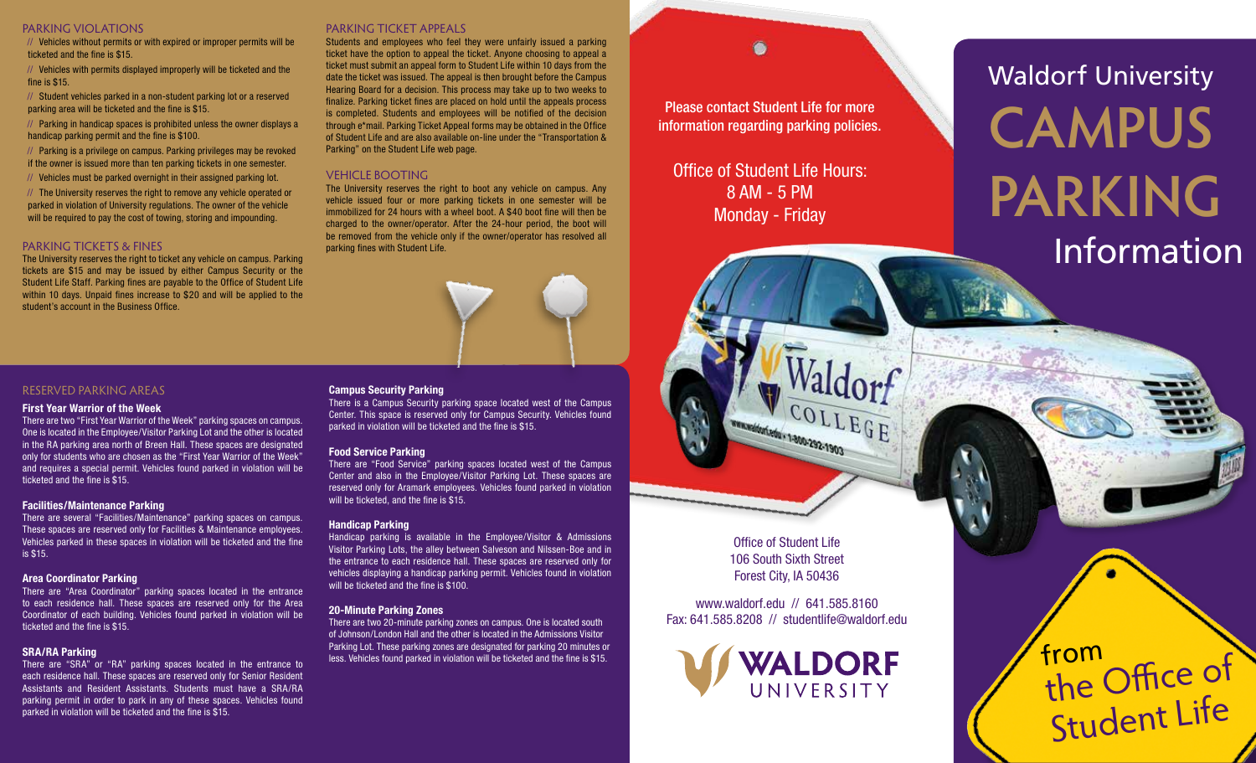#### PARKING VIOLATIONS

// Vehicles without permits or with expired or improper permits will be ticketed and the fine is \$15.

// Vehicles with permits displayed improperly will be ticketed and the fine is \$15.

// Student vehicles parked in a non-student parking lot or a reserved parking area will be ticketed and the fine is \$15.

// Parking in handicap spaces is prohibited unless the owner displays a handicap parking permit and the fine is \$100.

// Parking is a privilege on campus. Parking privileges may be revoked if the owner is issued more than ten parking tickets in one semester.

// Vehicles must be parked overnight in their assigned parking lot.

// The University reserves the right to remove any vehicle operated or parked in violation of University regulations. The owner of the vehicle will be required to pay the cost of towing, storing and impounding.

#### PARKING TICKETS & FINES

The University reserves the right to ticket any vehicle on campus. Parking tickets are \$15 and may be issued by either Campus Security or the Student Life Staff. Parking fines are payable to the Office of Student Life within 10 days. Unpaid fines increase to \$20 and will be applied to the student's account in the Business Office.

#### PARKING TICKET APPEALS

Students and employees who feel they were unfairly issued a parking ticket have the option to appeal the ticket. Anyone choosing to appeal a ticket must submit an appeal form to Student Life within 10 days from the date the ticket was issued. The appeal is then brought before the Campus Hearing Board for a decision. This process may take up to two weeks to finalize. Parking ticket fines are placed on hold until the appeals process is completed. Students and employees will be notified of the decision through e\*mail. Parking Ticket Appeal forms may be obtained in the Office of Student Life and are also available on-line under the "Transportation & Parking" on the Student Life web page.

#### VEHICLE BOOTING

The University reserves the right to boot any vehicle on campus. Any vehicle issued four or more parking tickets in one semester will be immobilized for 24 hours with a wheel boot. A \$40 boot fine will then be charged to the owner/operator. After the 24-hour period, the boot will be removed from the vehicle only if the owner/operator has resolved all parking fines with Student Life.



#### RESERVED PARKING AREAS

#### **First Year Warrior of the Week**

There are two "First Year Warrior of the Week" parking spaces on campus. One is located in the Employee/Visitor Parking Lot and the other is located in the RA parking area north of Breen Hall. These spaces are designated only for students who are chosen as the "First Year Warrior of the Week" and requires a special permit. Vehicles found parked in violation will be ticketed and the fine is \$15.

#### **Facilities/Maintenance Parking**

There are several "Facilities/Maintenance" parking spaces on campus. These spaces are reserved only for Facilities & Maintenance employees. Vehicles parked in these spaces in violation will be ticketed and the fine is \$15.

#### **Area Coordinator Parking**

There are "Area Coordinator" parking spaces located in the entrance to each residence hall. These spaces are reserved only for the Area Coordinator of each building. Vehicles found parked in violation will be ticketed and the fine is \$15.

#### **SRA/RA Parking**

There are "SRA" or "RA" parking spaces located in the entrance to each residence hall. These spaces are reserved only for Senior Resident Assistants and Resident Assistants. Students must have a SRA/RA parking permit in order to park in any of these spaces. Vehicles found parked in violation will be ticketed and the fine is \$15.

#### **Campus Security Parking**

There is a Campus Security parking space located west of the Campus Center. This space is reserved only for Campus Security. Vehicles found parked in violation will be ticketed and the fine is \$15.

#### **Food Service Parking**

There are "Food Service" parking spaces located west of the Campus Center and also in the Employee/Visitor Parking Lot. These spaces are reserved only for Aramark employees. Vehicles found parked in violation will be ticketed, and the fine is \$15.

#### **Handicap Parking**

Handicap parking is available in the Employee/Visitor & Admissions Visitor Parking Lots, the alley between Salveson and Nilssen-Boe and in the entrance to each residence hall. These spaces are reserved only for vehicles displaying a handicap parking permit. Vehicles found in violation will be ticketed and the fine is \$100.

#### **20-Minute Parking Zones**

There are two 20-minute parking zones on campus. One is located south of Johnson/London Hall and the other is located in the Admissions Visitor Parking Lot. These parking zones are designated for parking 20 minutes or less. Vehicles found parked in violation will be ticketed and the fine is \$15.

Please contact Student Life for more information regarding parking policies.

Office of Student Life Hours: 8 AM - 5 PM Monday - Friday

# **CAMPUS PARKING** Waldorf University Information

from<br>the Office of

Student Life

Office of Student Life 106 South Sixth Street Forest City, IA 50436

WWW.Walterful. 1-800-292-1903

www.waldorf.edu // 641.585.8160 Fax: 641.585.8208 // studentlife@waldorf.edu